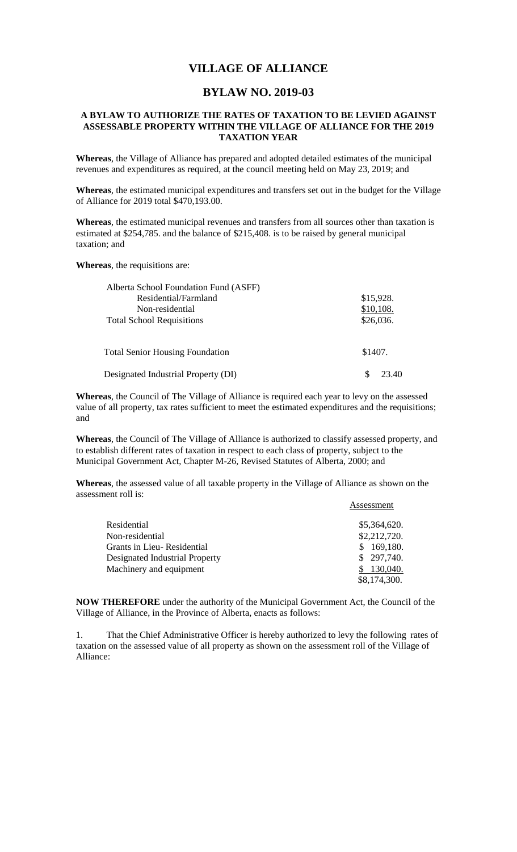## **VILLAGE OF ALLIANCE**

## **BYLAW NO. 2019-03**

## **A BYLAW TO AUTHORIZE THE RATES OF TAXATION TO BE LEVIED AGAINST ASSESSABLE PROPERTY WITHIN THE VILLAGE OF ALLIANCE FOR THE 2019 TAXATION YEAR**

**Whereas**, the Village of Alliance has prepared and adopted detailed estimates of the municipal revenues and expenditures as required, at the council meeting held on May 23, 2019; and

**Whereas**, the estimated municipal expenditures and transfers set out in the budget for the Village of Alliance for 2019 total \$470,193.00.

**Whereas**, the estimated municipal revenues and transfers from all sources other than taxation is estimated at \$254,785. and the balance of \$215,408. is to be raised by general municipal taxation; and

**Whereas**, the requisitions are:

| Alberta School Foundation Fund (ASFF)  |           |
|----------------------------------------|-----------|
| Residential/Farmland                   | \$15,928. |
| Non-residential                        | \$10,108. |
| <b>Total School Requisitions</b>       | \$26,036. |
| <b>Total Senior Housing Foundation</b> | \$1407.   |
|                                        |           |
| Designated Industrial Property (DI)    | 23.40     |

**Whereas**, the Council of The Village of Alliance is required each year to levy on the assessed value of all property, tax rates sufficient to meet the estimated expenditures and the requisitions; and

**Whereas**, the Council of The Village of Alliance is authorized to classify assessed property, and to establish different rates of taxation in respect to each class of property, subject to the Municipal Government Act, Chapter M-26, Revised Statutes of Alberta, 2000; and

**Whereas**, the assessed value of all taxable property in the Village of Alliance as shown on the assessment roll is:

Assessment

|                                | 1 1000001110111 |
|--------------------------------|-----------------|
| Residential                    | \$5,364,620.    |
| Non-residential                | \$2,212,720.    |
| Grants in Lieu- Residential    | 169,180.        |
| Designated Industrial Property | \$297,740.      |
| Machinery and equipment        | 130,040.        |
|                                | \$8,174,300.    |

**NOW THEREFORE** under the authority of the Municipal Government Act, the Council of the Village of Alliance, in the Province of Alberta, enacts as follows:

1. That the Chief Administrative Officer is hereby authorized to levy the following rates of taxation on the assessed value of all property as shown on the assessment roll of the Village of Alliance: